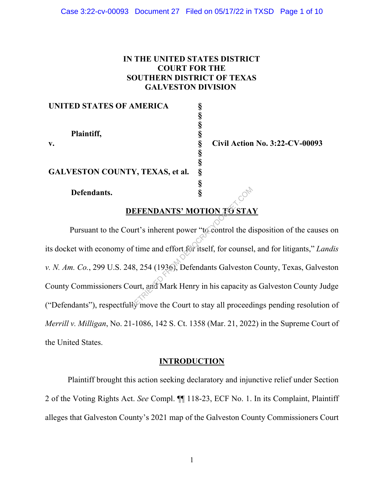## **IN THE UNITED STATES DISTRICT COURT FOR THE SOUTHERN DISTRICT OF TEXAS GALVESTON DIVISION**

**§ §**

**§ §**

**§**

#### **UNITED STATES OF AMERICA §**

**Plaintiff, §**

**GALVESTON COUNTY, TEXAS, et al. §**

#### **Defendants. §**

**v. § Civil Action No. 3:22-CV-00093**

# **DEFENDANTS' MOTION TO STAY**

Pursuant to the Court's inherent power "to control the disposition of the causes on its docket with economy of time and effort for itself, for counsel, and for litigants," *Landis v. N. Am. Co.*, 299 U.S. 248, 254 (1936), Defendants Galveston County, Texas, Galveston County Commissioners Court, and Mark Henry in his capacity as Galveston County Judge ("Defendants"), respectfully move the Court to stay all proceedings pending resolution of *Merrill v. Milligan*, No. 21-1086, 142 S. Ct. 1358 (Mar. 21, 2022) in the Supreme Court of the United States. RETRIDANTS' MOTION TO STAT UT'S inherent power "to control the definition of time and effort for itself, for counsel and  $(1936)$ , Defendants Galveston pourt, and Mark Henry in his capacity at the Court to stay all procee

### **INTRODUCTION**

Plaintiff brought this action seeking declaratory and injunctive relief under Section 2 of the Voting Rights Act. *See* Compl. ¶¶ 118-23, ECF No. 1. In its Complaint, Plaintiff alleges that Galveston County's 2021 map of the Galveston County Commissioners Court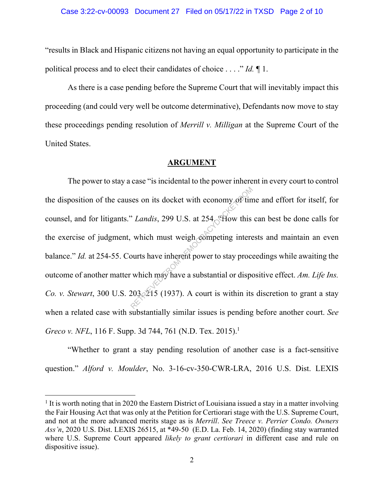"results in Black and Hispanic citizens not having an equal opportunity to participate in the political process and to elect their candidates of choice . . . ." *Id.* ¶ 1.

As there is a case pending before the Supreme Court that will inevitably impact this proceeding (and could very well be outcome determinative), Defendants now move to stay these proceedings pending resolution of *Merrill v. Milligan* at the Supreme Court of the United States.

#### **ARGUMENT**

The power to stay a case "is incidental to the power inherent in every court to control the disposition of the causes on its docket with economy of time and effort for itself, for counsel, and for litigants." *Landis*, 299 U.S. at 254. "How this can best be done calls for the exercise of judgment, which must weigh competing interests and maintain an even balance." *Id.* at 254-55. Courts have inherent power to stay proceedings while awaiting the outcome of another matter which may have a substantial or dispositive effect. *Am. Life Ins. Co. v. Stewart*, 300 U.S. 203, 215 (1937). A court is within its discretion to grant a stay when a related case with substantially similar issues is pending before another court. *See Greco v. NFL*, 116 F. Supp. 3d 744, 761 (N.D. Tex. 2015).<sup>1</sup> Ses on its docket with economy of tin<br>  $'$  *Landis*, 299 U.S. at 254 Thow this<br>
which must weigh competing intere<br>
burts have inherent power to stay proce<br>
which may have a substantial or disposition of the substantial or

"Whether to grant a stay pending resolution of another case is a fact-sensitive question." *Alford v. Moulder*, No. 3-16-cv-350-CWR-LRA, 2016 U.S. Dist. LEXIS

 $<sup>1</sup>$  It is worth noting that in 2020 the Eastern District of Louisiana issued a stay in a matter involving</sup> the Fair Housing Act that was only at the Petition for Certiorari stage with the U.S. Supreme Court, and not at the more advanced merits stage as is *Merrill*. *See Treece v. Perrier Condo. Owners Ass'n*, 2020 U.S. Dist. LEXIS 26515, at \*49-50 (E.D. La. Feb. 14, 2020) (finding stay warranted where U.S. Supreme Court appeared *likely to grant certiorari* in different case and rule on dispositive issue).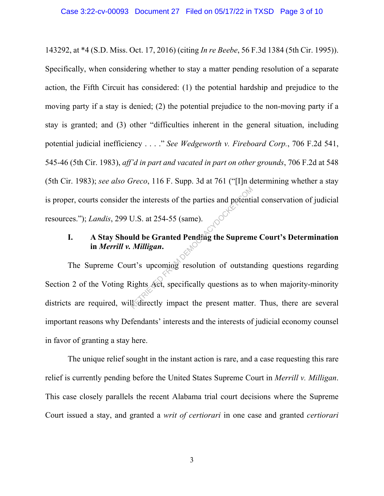143292, at \*4 (S.D. Miss. Oct. 17, 2016) (citing *In re Beebe*, 56 F.3d 1384 (5th Cir. 1995)). Specifically, when considering whether to stay a matter pending resolution of a separate action, the Fifth Circuit has considered: (1) the potential hardship and prejudice to the moving party if a stay is denied; (2) the potential prejudice to the non-moving party if a stay is granted; and (3) other "difficulties inherent in the general situation, including potential judicial inefficiency . . . ." *See Wedgeworth v. Fireboard Corp.*, 706 F.2d 541, 545-46 (5th Cir. 1983), *aff'd in part and vacated in part on other grounds*, 706 F.2d at 548 (5th Cir. 1983); *see also Greco*, 116 F. Supp. 3d at 761 ("[I]n determining whether a stay is proper, courts consider the interests of the parties and potential conservation of judicial resources."); *Landis*, 299 U.S. at 254-55 (same).

# **I. A Stay Should be Granted Pending the Supreme Court's Determination in** *Merrill v. Milligan***.**

The Supreme Court's upcoming resolution of outstanding questions regarding Section 2 of the Voting Rights Act, specifically questions as to when majority-minority districts are required, will directly impact the present matter. Thus, there are several important reasons why Defendants' interests and the interests of judicial economy counsel in favor of granting a stay here. the interests of the parties and potenti<br>U.S. at 254-55 (same).<br> **and be Granted Pending the Suprem**<br> **Milligan.**<br>
It's upcoming resolution of outstan<br>
Lights Act, specifically questions as the directly impact the present

The unique relief sought in the instant action is rare, and a case requesting this rare relief is currently pending before the United States Supreme Court in *Merrill v. Milligan*. This case closely parallels the recent Alabama trial court decisions where the Supreme Court issued a stay, and granted a *writ of certiorari* in one case and granted *certiorari*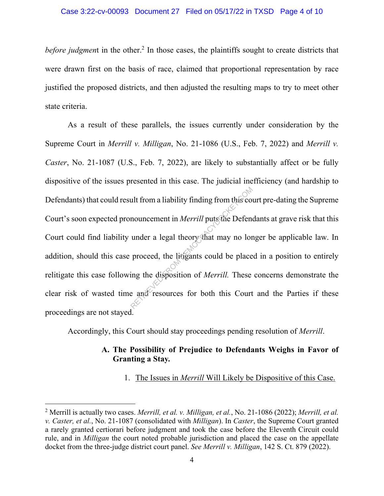*before judgmen*t in the other. <sup>2</sup> In those cases, the plaintiffs sought to create districts that were drawn first on the basis of race, claimed that proportional representation by race justified the proposed districts, and then adjusted the resulting maps to try to meet other state criteria.

As a result of these parallels, the issues currently under consideration by the Supreme Court in *Merrill v. Milligan*, No. 21-1086 (U.S., Feb. 7, 2022) and *Merrill v. Caster*, No. 21-1087 (U.S., Feb. 7, 2022), are likely to substantially affect or be fully dispositive of the issues presented in this case. The judicial inefficiency (and hardship to Defendants) that could result from a liability finding from this court pre-dating the Supreme Court's soon expected pronouncement in *Merrill* puts the Defendants at grave risk that this Court could find liability under a legal theory that may no longer be applicable law. In addition, should this case proceed, the litigants could be placed in a position to entirely relitigate this case following the disposition of *Merrill.* These concerns demonstrate the clear risk of wasted time and resources for both this Court and the Parties if these proceedings are not stayed. ult from a liability finding from this compounder a legal theory that may no lor proceed, the lingants could be place ing the disposition of *Merrill*. These a and resources for both this Court

Accordingly, this Court should stay proceedings pending resolution of *Merrill*.

# **A. The Possibility of Prejudice to Defendants Weighs in Favor of Granting a Stay***.*

### 1. The Issues in *Merrill* Will Likely be Dispositive of this Case.

<sup>2</sup> Merrill is actually two cases. *Merrill, et al. v. Milligan, et al.*, No. 21-1086 (2022); *Merrill, et al. v. Caster, et al.*, No. 21-1087 (consolidated with *Milligan*). In *Caster*, the Supreme Court granted a rarely granted certiorari before judgment and took the case before the Eleventh Circuit could rule, and in *Milligan* the court noted probable jurisdiction and placed the case on the appellate docket from the three-judge district court panel. *See Merrill v. Milligan*, 142 S. Ct. 879 (2022).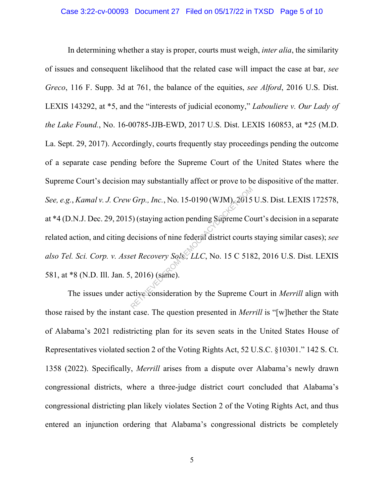In determining whether a stay is proper, courts must weigh, *inter alia*, the similarity of issues and consequent likelihood that the related case will impact the case at bar, *see Greco*, 116 F. Supp. 3d at 761, the balance of the equities, *see Alford*, 2016 U.S. Dist. LEXIS 143292, at \*5, and the "interests of judicial economy," *Labouliere v. Our Lady of the Lake Found.*, No. 16-00785-JJB-EWD, 2017 U.S. Dist. LEXIS 160853, at \*25 (M.D. La. Sept. 29, 2017). Accordingly, courts frequently stay proceedings pending the outcome of a separate case pending before the Supreme Court of the United States where the Supreme Court's decision may substantially affect or prove to be dispositive of the matter. *See, e.g.*, *Kamal v. J. Crew Grp., Inc.*, No. 15-0190 (WJM), 2015 U.S. Dist. LEXIS 172578, at \*4 (D.N.J. Dec. 29, 2015) (staying action pending Supreme Court's decision in a separate related action, and citing decisions of nine federal district courts staying similar cases); *see also Tel. Sci. Corp. v. Asset Recovery Sols., LLC*, No. 15 C 5182, 2016 U.S. Dist. LEXIS 581, at \*8 (N.D. Ill. Jan. 5, 2016) (same). Grp., Inc., No. 15-0190 (WJM), 2015<br>
5) (staying action pending Supreme Co<br>
lecisions of nine federal district courts<br> *et Recovery Sols, LLC*, No. 15 C 518<br>
, 2016) (same).<br>
ctive consideration by the Supreme C

The issues under active consideration by the Supreme Court in *Merrill* align with those raised by the instant case. The question presented in *Merrill* is "[w]hether the State of Alabama's 2021 redistricting plan for its seven seats in the United States House of Representatives violated section 2 of the Voting Rights Act, 52 U.S.C. §10301." 142 S. Ct. 1358 (2022). Specifically, *Merrill* arises from a dispute over Alabama's newly drawn congressional districts, where a three-judge district court concluded that Alabama's congressional districting plan likely violates Section 2 of the Voting Rights Act, and thus entered an injunction ordering that Alabama's congressional districts be completely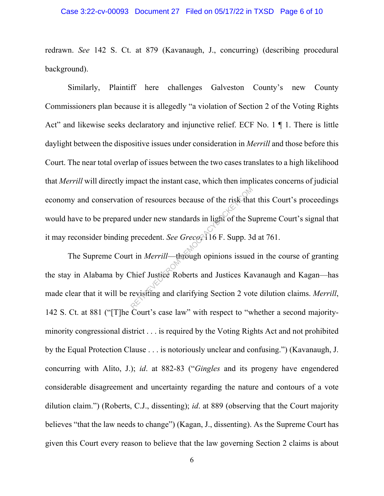redrawn. *See* 142 S. Ct. at 879 (Kavanaugh, J., concurring) (describing procedural background).

Similarly, Plaintiff here challenges Galveston County's new County Commissioners plan because it is allegedly "a violation of Section 2 of the Voting Rights Act" and likewise seeks declaratory and injunctive relief. ECF No. 1  $\P$  1. There is little daylight between the dispositive issues under consideration in *Merrill* and those before this Court. The near total overlap of issues between the two cases translates to a high likelihood that *Merrill* will directly impact the instant case, which then implicates concerns of judicial economy and conservation of resources because of the risk that this Court's proceedings would have to be prepared under new standards in light of the Supreme Court's signal that it may reconsider binding precedent. *See Greco*, 116 F. Supp. 3d at 761.

The Supreme Court in *Merrill*—through opinions issued in the course of granting the stay in Alabama by Chief Justice Roberts and Justices Kavanaugh and Kagan—has made clear that it will be revisiting and clarifying Section 2 vote dilution claims. *Merrill*, 142 S. Ct. at 881 ("[T]he Court's case law" with respect to "whether a second majorityminority congressional district . . . is required by the Voting Rights Act and not prohibited by the Equal Protection Clause . . . is notoriously unclear and confusing.") (Kavanaugh, J. concurring with Alito, J.); *id*. at 882-83 ("*Gingles* and its progeny have engendered considerable disagreement and uncertainty regarding the nature and contours of a vote dilution claim.") (Roberts, C.J., dissenting); *id*. at 889 (observing that the Court majority believes "that the law needs to change") (Kagan, J., dissenting). As the Supreme Court has given this Court every reason to believe that the law governing Section 2 claims is about In the resources because of the risk that<br>
lunder new standards in light of the Si<br>
precedent. See Greco, 16 F. Supp. 3<br>
t in *Merrill*—through opinions issued<br>
Chief Justice Roberts and Justices Ka<br>
revisiting and clarify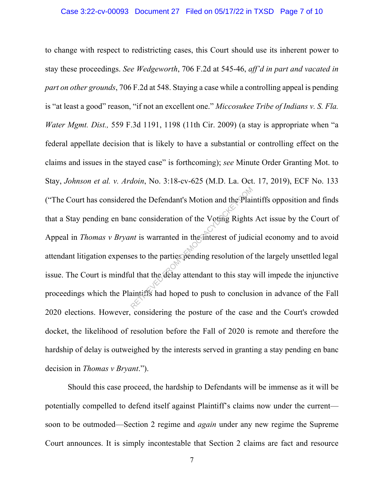to change with respect to redistricting cases, this Court should use its inherent power to stay these proceedings. *See Wedgeworth*, 706 F.2d at 545-46, *aff'd in part and vacated in part on other grounds*, 706 F.2d at 548. Staying a case while a controlling appeal is pending is "at least a good" reason, "if not an excellent one." *Miccosukee Tribe of Indians v. S. Fla. Water Mgmt. Dist.,* 559 F.3d 1191, 1198 (11th Cir. 2009) (a stay is appropriate when "a federal appellate decision that is likely to have a substantial or controlling effect on the claims and issues in the stayed case" is forthcoming); *see* Minute Order Granting Mot. to Stay, *Johnson et al. v. Ardoin*, No. 3:18-cv-625 (M.D. La. Oct. 17, 2019), ECF No. 133 ("The Court has considered the Defendant's Motion and the Plaintiffs opposition and finds that a Stay pending en banc consideration of the Voting Rights Act issue by the Court of Appeal in *Thomas v Bryant* is warranted in the interest of judicial economy and to avoid attendant litigation expenses to the parties pending resolution of the largely unsettled legal issue. The Court is mindful that the delay attendant to this stay will impede the injunctive proceedings which the Plaintiffs had hoped to push to conclusion in advance of the Fall 2020 elections. However, considering the posture of the case and the Court's crowded docket, the likelihood of resolution before the Fall of 2020 is remote and therefore the hardship of delay is outweighed by the interests served in granting a stay pending en banc decision in *Thomas v Bryant*."). d the Defendant's Motion and the Plai<br>nc consideration of the Voting Rights<br>*nt* is warranted in the interest of judic<br>es to the parties pending resolution of<br>all that the delay attendant to this stay<br>aintiffs had hoped to

Should this case proceed, the hardship to Defendants will be immense as it will be potentially compelled to defend itself against Plaintiff's claims now under the current soon to be outmoded—Section 2 regime and *again* under any new regime the Supreme Court announces. It is simply incontestable that Section 2 claims are fact and resource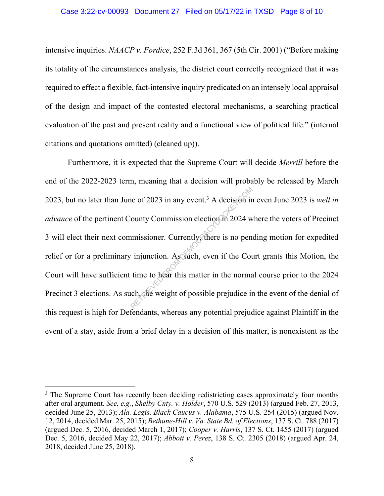intensive inquiries. *NAACP v. Fordice*, 252 F.3d 361, 367 (5th Cir. 2001) ("Before making its totality of the circumstances analysis, the district court correctly recognized that it was required to effect a flexible, fact-intensive inquiry predicated on an intensely local appraisal of the design and impact of the contested electoral mechanisms, a searching practical evaluation of the past and present reality and a functional view of political life." (internal citations and quotations omitted) (cleaned up)).

Furthermore, it is expected that the Supreme Court will decide *Merrill* before the end of the 2022-2023 term, meaning that a decision will probably be released by March 2023, but no later than June of 2023 in any event. <sup>3</sup> A decision in even June 2023 is *well in advance* of the pertinent County Commission election in 2024 where the voters of Precinct 3 will elect their next commissioner. Currently, there is no pending motion for expedited relief or for a preliminary injunction. As such, even if the Court grants this Motion, the Court will have sufficient time to hear this matter in the normal course prior to the 2024 Precinct 3 elections. As such, the weight of possible prejudice in the event of the denial of this request is high for Defendants, whereas any potential prejudice against Plaintiff in the event of a stay, aside from a brief delay in a decision of this matter, is nonexistent as the The of 2023 in any event.<sup>3</sup> A decision in<br>
ounty Commission election in 2024 w<br>
imissioner. Currently, there is no pen<br>
injunction. As such, even if the Courtine to hear this matter in the normal<br>
ine to hear this matter

<sup>&</sup>lt;sup>3</sup> The Supreme Court has recently been deciding redistricting cases approximately four months after oral argument. *See, e.g.*, *Shelby Cnty. v. Holder*, 570 U.S. 529 (2013) (argued Feb. 27, 2013, decided June 25, 2013); *Ala. Legis. Black Caucus v. Alabama*, 575 U.S. 254 (2015) (argued Nov. 12, 2014, decided Mar. 25, 2015); *Bethune-Hill v. Va. State Bd. of Elections*, 137 S. Ct. 788 (2017) (argued Dec. 5, 2016, decided March 1, 2017); *Cooper v. Harris*, 137 S. Ct. 1455 (2017) (argued Dec. 5, 2016, decided May 22, 2017); *Abbott v. Perez*, 138 S. Ct. 2305 (2018) (argued Apr. 24, 2018, decided June 25, 2018).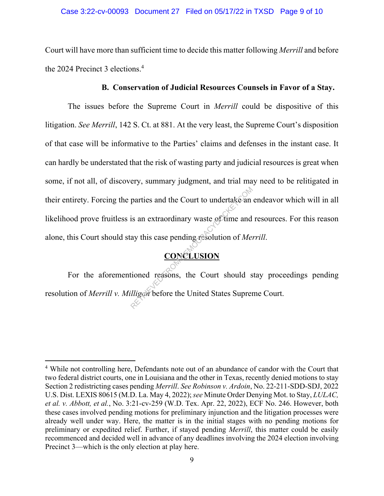Court will have more than sufficient time to decide this matter following *Merrill* and before the 2024 Precinct 3 elections.<sup>4</sup>

## **B. Conservation of Judicial Resources Counsels in Favor of a Stay.**

The issues before the Supreme Court in *Merrill* could be dispositive of this litigation. *See Merrill*, 142 S. Ct. at 881. At the very least, the Supreme Court's disposition of that case will be informative to the Parties' claims and defenses in the instant case. It can hardly be understated that the risk of wasting party and judicial resources is great when some, if not all, of discovery, summary judgment, and trial may need to be relitigated in their entirety. Forcing the parties and the Court to undertake an endeavor which will in all likelihood prove fruitless is an extraordinary waste of time and resources. For this reason alone, this Court should stay this case pending resolution of *Merrill*. parties and the Court to undertake an<br>is an extraordinary waste of time and<br>ay this case pending resolution of Me.<br>CONCLUSION<br>tioned reasons, the Court should s<br>illigan before the United States Supren

# **CONCLUSION**

For the aforementioned reasons, the Court should stay proceedings pending resolution of *Merrill v. Milligan* before the United States Supreme Court.

<sup>4</sup> While not controlling here, Defendants note out of an abundance of candor with the Court that two federal district courts, one in Louisiana and the other in Texas, recently denied motions to stay Section 2 redistricting cases pending *Merrill*. *See Robinson v. Ardoin*, No. 22-211-SDD-SDJ, 2022 U.S. Dist. LEXIS 80615 (M.D. La. May 4, 2022); *see* Minute Order Denying Mot. to Stay, *LULAC, et al. v. Abbott, et al.*, No. 3:21-cv-259 (W.D. Tex. Apr. 22, 2022), ECF No. 246. However, both these cases involved pending motions for preliminary injunction and the litigation processes were already well under way. Here, the matter is in the initial stages with no pending motions for preliminary or expedited relief. Further, if stayed pending *Merrill*, this matter could be easily recommenced and decided well in advance of any deadlines involving the 2024 election involving Precinct 3—which is the only election at play here.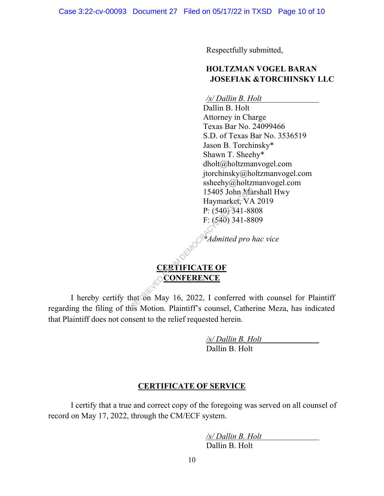Respectfully submitted,

# **HOLTZMAN VOGEL BARAN JOSEFIAK &TORCHINSKY LLC**

*/s/ Dallin B. Holt*

Dallin B. Holt  Attorney in Charge  Texas Bar No. 24099466  S.D. of Texas Bar No. 3536519  Jason B. Torchinsky\* Shawn T. Sheehy\* dholt@holtzmanvogel.com jtorchinsky@holtzmanvogel.com ssheehy@holtzmanvogel.com 15405 John Marshall Hwy  Haymarket, VA 2019  P: (540) 341-8808  F: (540) 341-8809 

*\*Admitted pro hac vice*

# **CERTIFICATE OF**  CONFERENCE

I hereby certify that on May 16, 2022, I conferred with counsel for Plaintiff regarding the filing of this Motion. Plaintiff's counsel, Catherine Meza, has indicated that Plaintiff does not consent to the relief requested herein. 15405 John Ma<br>
Haymarket, VA<br>
P:  $(540)$  341-88<br>
F:  $(540)$  341-88<br>
F:  $(540)$  341-88<br>
F:  $(540)$  341-88<br>
CRETRICATE OF<br>
CONFERENCE<br>
hat on May 16, 2022, I conferred was Motion Plaintiff's counsel Cathe

> */s/ Dallin B. Holt* Dallin B. Holt

# **CERTIFICATE OF SERVICE**

I certify that a true and correct copy of the foregoing was served on all counsel of record on May 17, 2022, through the CM/ECF system.

> */s/ Dallin B. Holt* Dallin B. Holt